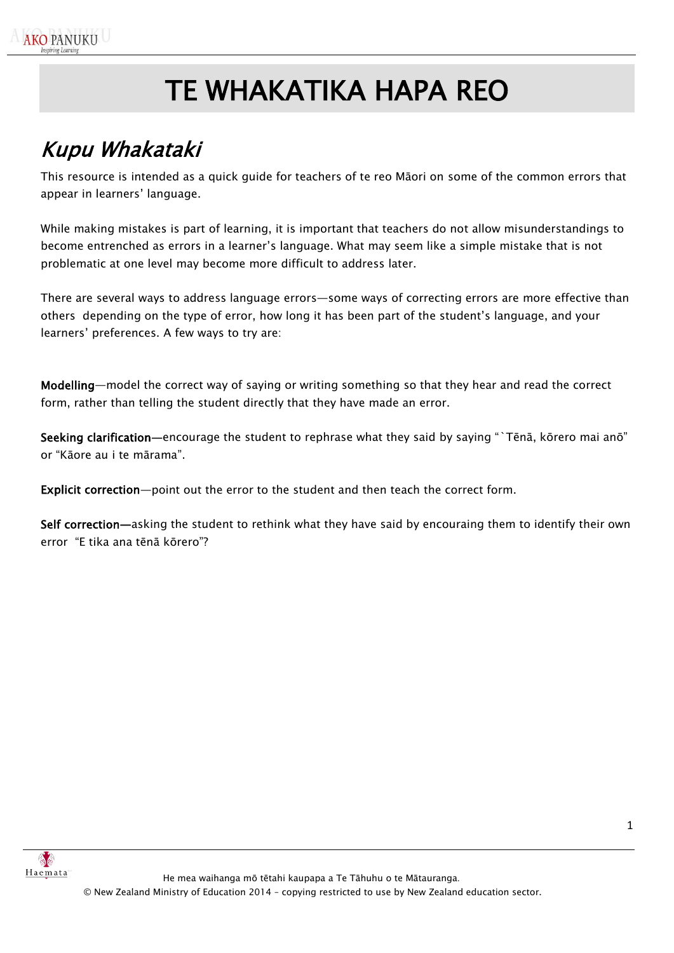# TE WHAKATIKA HAPA REO

## <span id="page-0-0"></span>Kupu Whakataki

This resource is intended as a quick guide for teachers of te reo Māori on some of the common errors that appear in learners' language.

While making mistakes is part of learning, it is important that teachers do not allow misunderstandings to become entrenched as errors in a learner's language. What may seem like a simple mistake that is not problematic at one level may become more difficult to address later.

There are several ways to address language errors—some ways of correcting errors are more effective than others depending on the type of error, how long it has been part of the student's language, and your learners' preferences. A few ways to try are:

Modelling—model the correct way of saying or writing something so that they hear and read the correct form, rather than telling the student directly that they have made an error.

Seeking clarification—encourage the student to rephrase what they said by saying "`Tēnā, kōrero mai anō" or "Kāore au i te mārama".

Explicit correction—point out the error to the student and then teach the correct form.

Self correction—asking the student to rethink what they have said by encouraing them to identify their own error "E tika ana tēnā kōrero"?

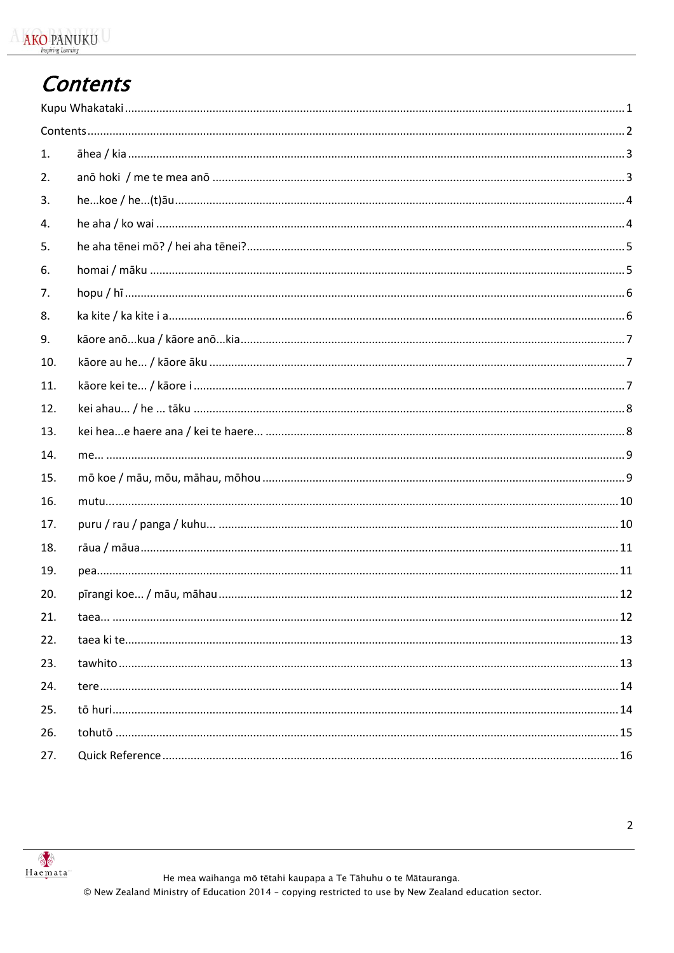## <span id="page-1-0"></span>**Contents**

| 1.  |  |
|-----|--|
| 2.  |  |
| 3.  |  |
| 4.  |  |
| 5.  |  |
| 6.  |  |
| 7.  |  |
| 8.  |  |
| 9.  |  |
| 10. |  |
| 11. |  |
| 12. |  |
| 13. |  |
| 14. |  |
| 15. |  |
| 16. |  |
| 17. |  |
| 18. |  |
| 19. |  |
| 20. |  |
| 21. |  |
| 22. |  |
| 23. |  |
| 24. |  |
| 25. |  |
| 26. |  |
| 27. |  |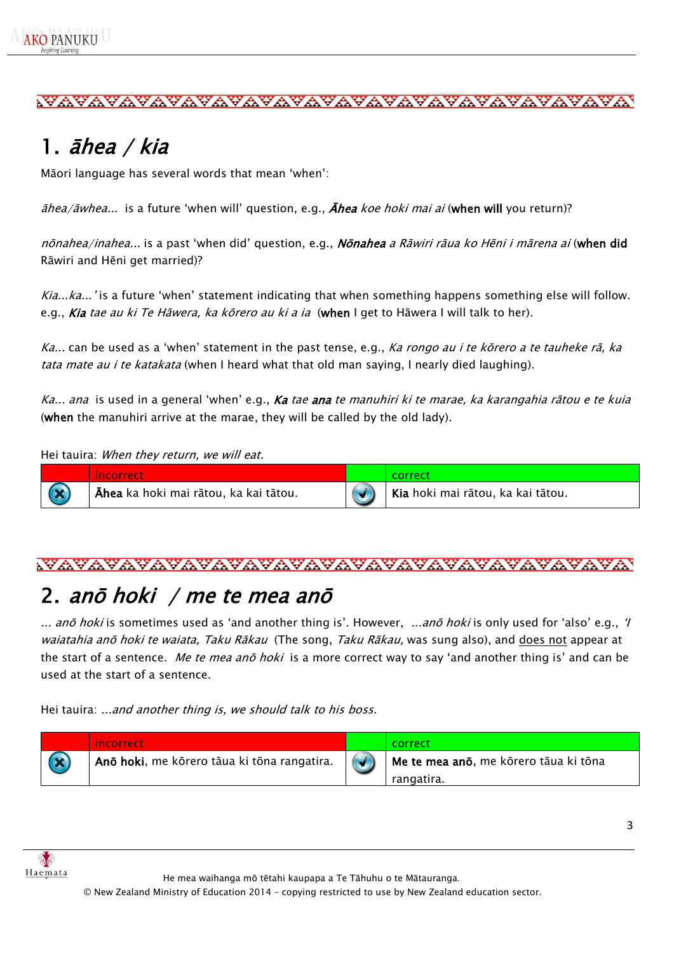# <span id="page-2-0"></span>1. āhea / kia

Māori language has several words that mean 'when':

 $\bar{a}$ hea/ $\bar{a}$ whea... is a future 'when will' question, e.g.,  $\bar{A}$ hea koe hoki mai ai (when will you return)?

nōnahea/inahea... is a past 'when did' question, e.g., Nōnahea a Rāwiri rāua ko Hēni i mārena ai (when did Rāwiri and Hēni get married)?

Kia...ka...' is a future 'when' statement indicating that when something happens something else will follow. e.g., *Kia tae au ki Te Hāwera, ka kōrero au ki a ia* (when I get to Hāwera I will talk to her).

Ka... can be used as a 'when' statement in the past tense, e.g., Ka rongo au *i te kōrero a te tauheke rā, ka* tata mate au i te katakata (when I heard what that old man saying, I nearly died laughing).

Ka... ana is used in a general 'when' e.g., **Ka** tae ana te manuhiri ki te marae, ka karangahia rātou e te kuia (when the manuhiri arrive at the marae, they will be called by the old lady).

Hei tauira: When they return, we will eat.

| incorrect                                          |                                                |
|----------------------------------------------------|------------------------------------------------|
| <sup>I</sup> Āhea ka hoki mai rātou, ka kai tātou. | <sup>I</sup> Kia hoki mai rātou, ka kai tātou. |

#### 

## <span id="page-2-1"></span>2. anō hoki / me te mea anō

... anō hoki is sometimes used as 'and another thing is'. However, ...anō hoki is only used for 'also' e.g., 'I waiatahia anō hoki te waiata, Taku Rākau (The song, Taku Rākau, was sung also), and does not appear at the start of a sentence. Me te mea ano hoki is a more correct way to say 'and another thing is' and can be used at the start of a sentence.

Hei tauira: ...and another thing is, we should talk to his boss.

| incorrect                                                                       | correct                                 |
|---------------------------------------------------------------------------------|-----------------------------------------|
| $^{\mathsf{I}}$ Anō hoki, me kōrero tāua ki tōna rangatira. $  (\mathcal{A})  $ | I Me te mea ano, me korero tāua ki tona |
|                                                                                 | rangatira.                              |



He mea waihanga mō tētahi kaupapa a Te Tāhuhu o te Mātauranga.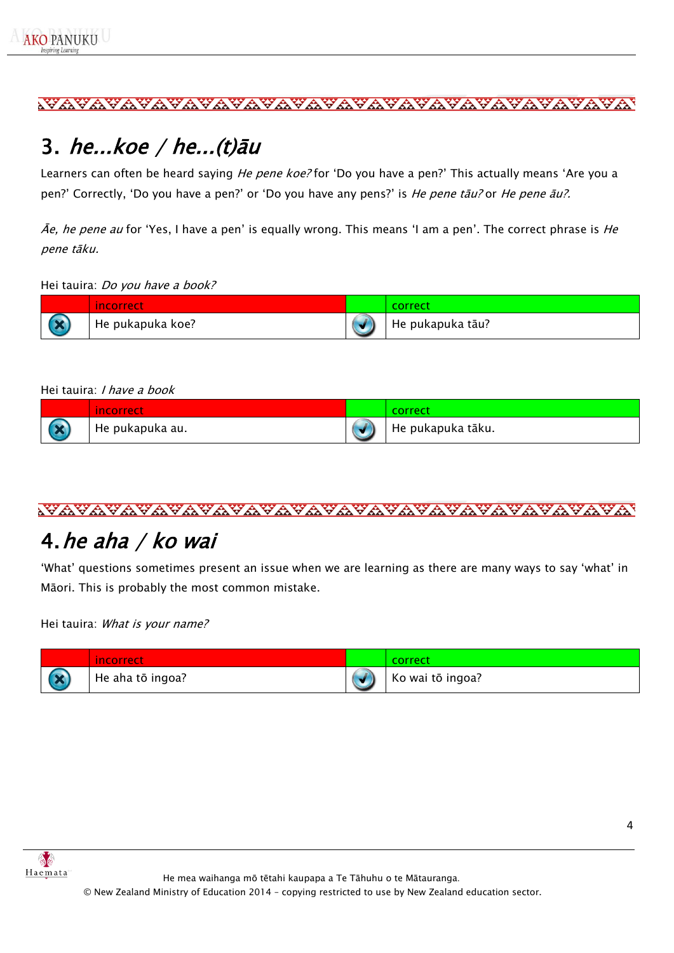### <span id="page-3-0"></span>3. he... $koe / he$ ... $(t) \bar{a}u$

Learners can often be heard saying *He pene koe?* for 'Do you have a pen?' This actually means 'Are you a pen?' Correctly, 'Do you have a pen?' or 'Do you have any pens?' is *He pene tāu?* or *He pene āu?.* 

 $\bar{A}e$ , he pene au for 'Yes, I have a pen' is equally wrong. This means 'I am a pen'. The correct phrase is He pene tāku.

Hei tauira: Do you have a book?

|                 | incorrect        | correct          |
|-----------------|------------------|------------------|
| <b>Contract</b> | He pukapuka koe? | He pukapuka tāu? |

#### Hei tauira: I have a book

|                          | <i>A</i> ncorrect | <b>COLLECT</b>    |
|--------------------------|-------------------|-------------------|
| $\overline{\phantom{a}}$ | He pukapuka au.   | He pukapuka tāku. |

#### <u>wayayayayayayayayayayayayayayayayayaya</u>

#### <span id="page-3-1"></span>4.he aha / ko wai

'What' questions sometimes present an issue when we are learning as there are many ways to say 'what' in Māori. This is probably the most common mistake.

Hei tauira: What is your name?

| <i>A</i> ncorrect | rorrer:          |
|-------------------|------------------|
| He aha tō ingoa?  | Ko wai tō ingoa? |



He mea waihanga mō tētahi kaupapa a Te Tāhuhu o te Mātauranga.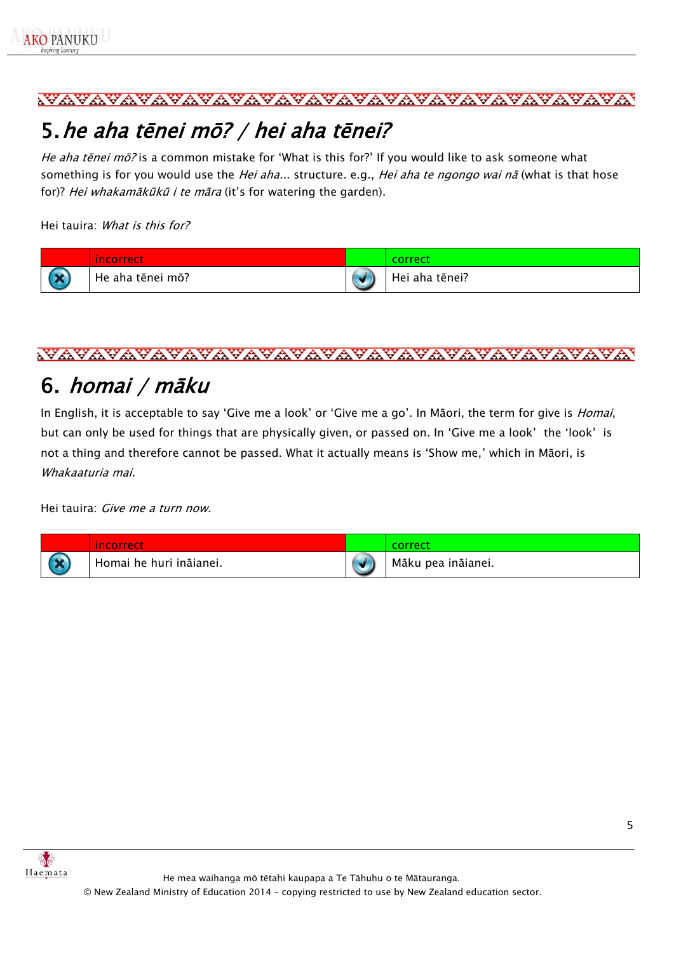## <span id="page-4-0"></span>5.he aha tēnei mō? / hei aha tēnei?

He aha tēnei mō? is a common mistake for 'What is this for?' If you would like to ask someone what something is for you would use the Hei aha... structure. e.g., Hei aha te ngongo wai nā (what is that hose for)? Hei whakamākūkū i te māra (it's for watering the garden).

Hei tauira: What is this for?

|                          | incorrect        | correct        |
|--------------------------|------------------|----------------|
| $\overline{\phantom{a}}$ | He aha tēnei mō? | Hei aha tēnei? |

#### 

### <span id="page-4-1"></span>6. homai / māku

In English, it is acceptable to say 'Give me a look' or 'Give me a go'. In Māori, the term for give is *Homai*, but can only be used for things that are physically given, or passed on. In 'Give me a look' the 'look' is not a thing and therefore cannot be passed. What it actually means is 'Show me,' which in Māori, is Whakaaturia mai.

Hei tauira: Give me a turn now.

|                          | $\sim$<br>incorrect.    | correct            |
|--------------------------|-------------------------|--------------------|
| $\overline{\phantom{a}}$ | Homai he huri ināianei. | Māku pea ināianei. |

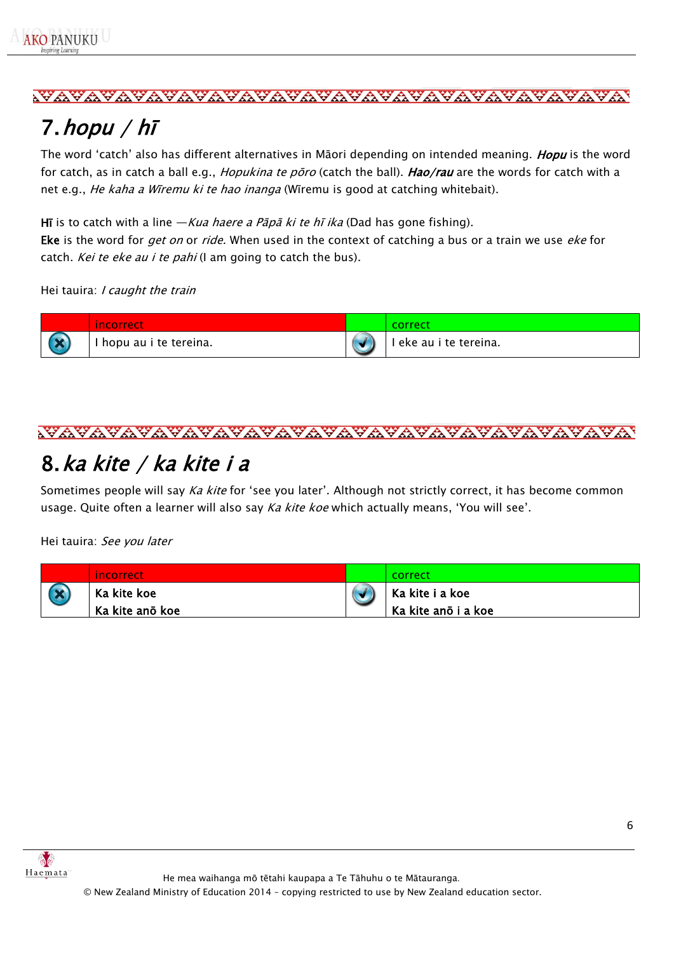

## <span id="page-5-0"></span>7.hopu / hī

The word 'catch' also has different alternatives in Māori depending on intended meaning. Hopu is the word for catch, as in catch a ball e.g., *Hopukina te pōro* (catch the ball). Hao/rau are the words for catch with a net e.g., *He kaha a Wīremu ki te hao inanga* (Wīremu is good at catching whitebait).

Hī is to catch with a line  $-Kua$  haere a Pāpā ki te hī ika (Dad has gone fishing). Eke is the word for get on or ride. When used in the context of catching a bus or a train we use eke for catch. Kei te eke au i te pahi (I am going to catch the bus).

Hei tauira: I caught the train



#### 

#### <span id="page-5-1"></span>8.ka kite / ka kite i a

Sometimes people will say Ka kite for 'see you later'. Although not strictly correct, it has become common usage. Quite often a learner will also say Ka kite koe which actually means, 'You will see'.

Hei tauira: See you later

| incorrect       | correct             |
|-----------------|---------------------|
| Ka kite koe     | Ka kite i a koe     |
| Ka kite anō koe | Ka kite anō i a koe |

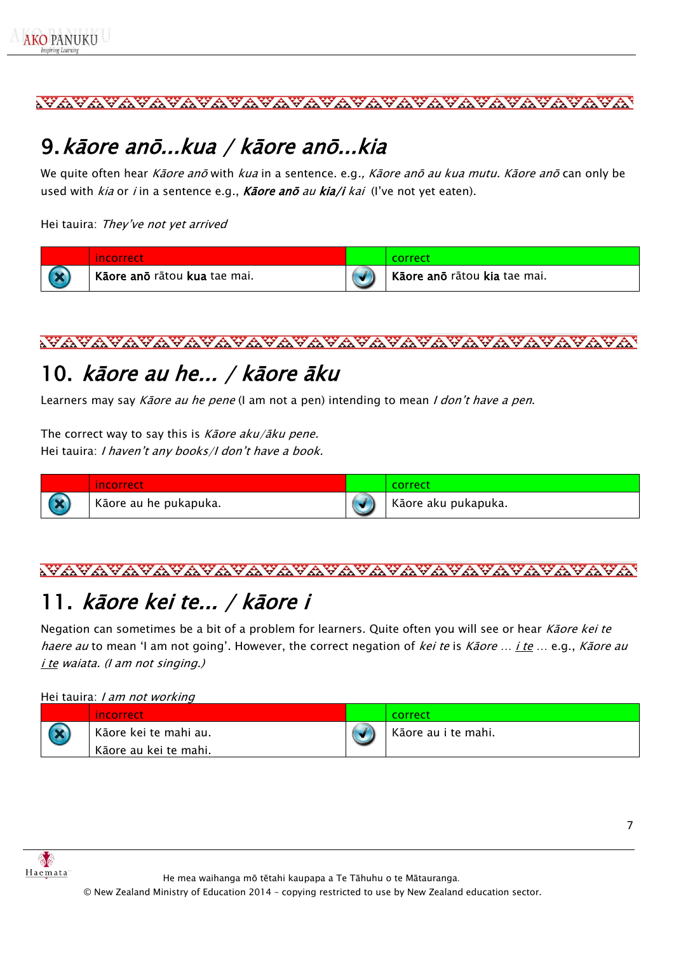## <span id="page-6-0"></span>9.kāore anō...kua / kāore anō...kia

We quite often hear Kāore anō with kua in a sentence. e.g., Kāore anō au kua mutu. Kāore anō can only be used with  $kia$  or *i* in a sentence e.g., **Kāore anō** au **kia/i** kai (I've not yet eaten).

Hei tauira: They've not yet arrived

| incorrect                    | correct                      |
|------------------------------|------------------------------|
| Kāore ano rātou kua tae mai. | Kāore anō rātou kia tae mai. |



## <span id="page-6-1"></span>10. kāore au he... / kāore āku

Learners may say Kaore au he pene (I am not a pen) intending to mean I don't have a pen.

The correct way to say this is Kaore aku/aku pene. Hei tauira: I haven't any books/I don't have a book.

|            | incorrect             | correct             |
|------------|-----------------------|---------------------|
| <b>ALC</b> | Kāore au he pukapuka. | Kāore aku pukapuka. |



# <span id="page-6-2"></span>11. kāore kei te... / kāore i

Negation can sometimes be a bit of a problem for learners. Quite often you will see or hear Kāore kei te haere au to mean 'I am not going'. However, the correct negation of kei te is Kāore ... *i te ...* e.g., Kāore au i te waiata. (I am not singing.)

#### Hei tauira: I am not working

|                          | incorrect                                      | correct             |
|--------------------------|------------------------------------------------|---------------------|
| $\overline{\phantom{a}}$ | Kāore kei te mahi au.<br>Kāore au kei te mahi. | Kāore au i te mahi. |



He mea waihanga mō tētahi kaupapa a Te Tāhuhu o te Mātauranga.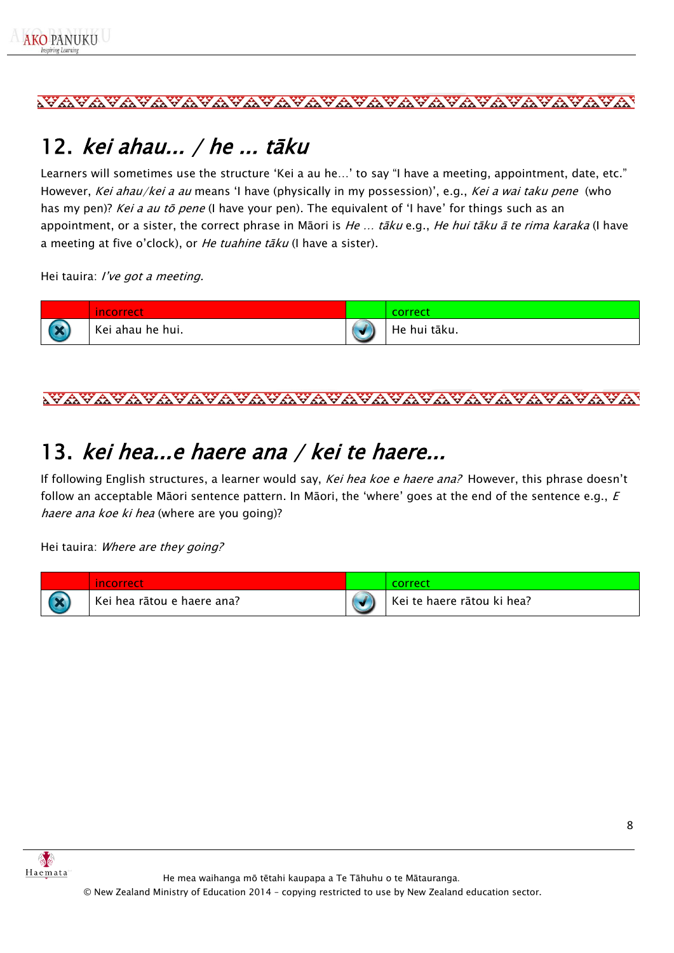## <span id="page-7-0"></span>12. kei ahau... / he ... tāku

Learners will sometimes use the structure 'Kei a au he…' to say "I have a meeting, appointment, date, etc." However, Kei ahau/kei a au means 'I have (physically in my possession)', e.g., Kei a wai taku pene (who has my pen)? Kei a au tō pene (I have your pen). The equivalent of 'I have' for things such as an appointment, or a sister, the correct phrase in Māori is He ... tāku e.g., He hui tāku ā te rima karaka (I have a meeting at five o'clock), or *He tuahine tāku* (I have a sister).

Hei tauira: I've got a meeting.



#### <u>wayayayayayayayayayayayayayayayayayaya</u>

## <span id="page-7-1"></span>13. kei hea...e haere ana / kei te haere...

If following English structures, a learner would say, Kei hea koe e haere ana? However, this phrase doesn't follow an acceptable Māori sentence pattern. In Māori, the 'where' goes at the end of the sentence e.g.,  $E$ haere ana koe ki hea (where are you going)?

Hei tauira: Where are they going?

| <u>Incorrect</u>           |                            |
|----------------------------|----------------------------|
| Kei hea rātou e haere ana? | Kei te haere rātou ki hea? |

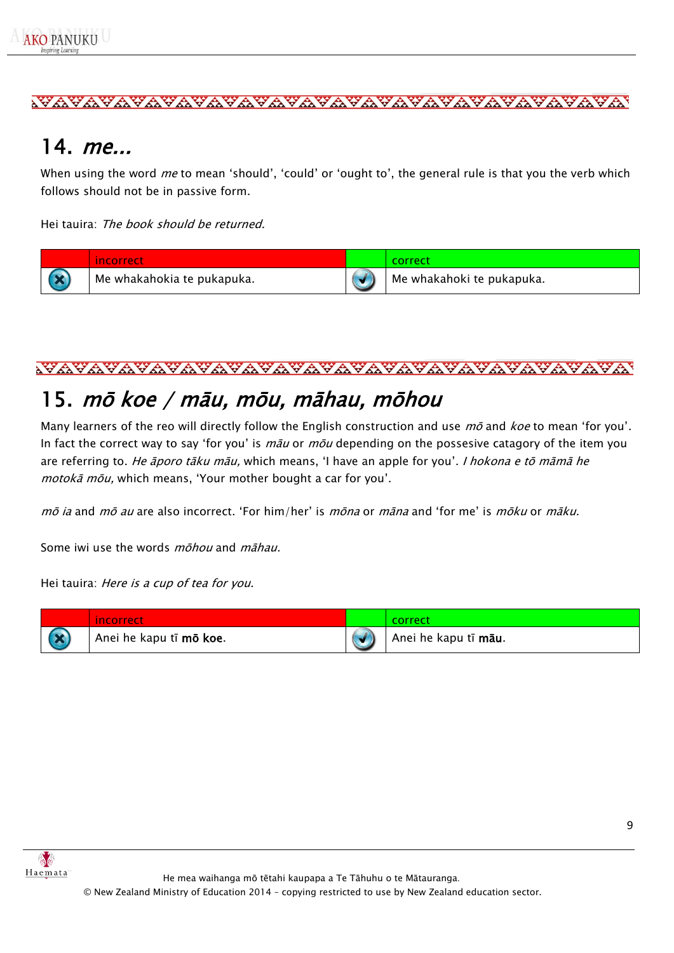### <span id="page-8-0"></span>14. me...

When using the word *me* to mean 'should', 'could' or 'ought to', the general rule is that you the verb which follows should not be in passive form.

Hei tauira: The book should be returned.

| incorrect                  | correct                   |
|----------------------------|---------------------------|
| Me whakahokia te pukapuka. | Me whakahoki te pukapuka. |

#### <u>wayayayayayayayayayayayayayayayayayaya</u>

### <span id="page-8-1"></span>15. mō koe / māu, mōu, māhau, mōhou

Many learners of the reo will directly follow the English construction and use  $m\bar{o}$  and koe to mean 'for you'. In fact the correct way to say 'for you' is  $m\bar{a}u$  or  $m\bar{o}u$  depending on the possesive catagory of the item you are referring to. He āporo tāku māu, which means, 'I have an apple for you'. I hokona e tō māmā he motokā mōu, which means, 'Your mother bought a car for you'.

mō ia and mō au are also incorrect. 'For him/her' is mōna or māna and 'for me' is mōku or māku.

Some iwi use the words *mōhou* and *māhau*.

Hei tauira: Here is a cup of tea for you.

|                 | incorrect               | correct              |
|-----------------|-------------------------|----------------------|
| <b>Contract</b> | Anei he kapu tī mō koe. | Anei he kapu tī māu. |



He mea waihanga mō tētahi kaupapa a Te Tāhuhu o te Mātauranga.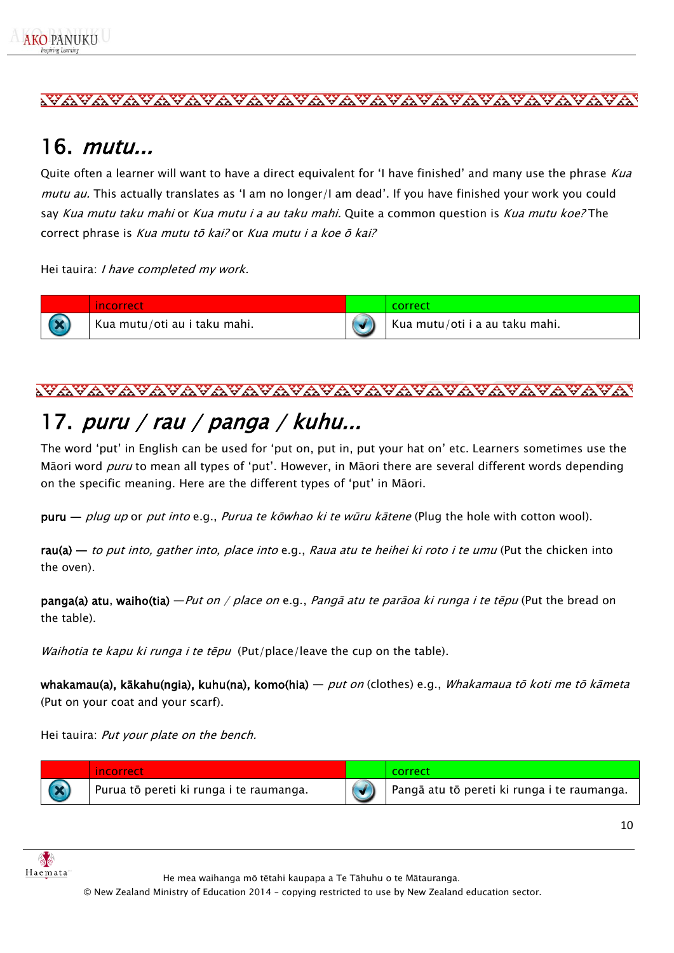#### <span id="page-9-0"></span>16. mutu...

Quite often a learner will want to have a direct equivalent for 'I have finished' and many use the phrase Kua mutu au. This actually translates as 'I am no longer/I am dead'. If you have finished your work you could say Kua mutu taku mahi or Kua mutu i a au taku mahi. Quite a common question is Kua mutu koe? The correct phrase is Kua mutu tō kai? or Kua mutu i a koe ō kai?

Hei tauira: I have completed my work.

| incorrect                    |                                |
|------------------------------|--------------------------------|
| Kua mutu/oti au i taku mahi. | Kua mutu/oti i a au taku mahi. |

# <span id="page-9-1"></span>17. puru / rau / panga / kuhu...

The word 'put' in English can be used for 'put on, put in, put your hat on' etc. Learners sometimes use the Māori word puru to mean all types of 'put'. However, in Māori there are several different words depending on the specific meaning. Here are the different types of 'put' in Māori.

puru — plug up or put into e.g., Purua te kōwhao ki te wūru kātene (Plug the hole with cotton wool).

 $rau(a)$  — to put into, gather into, place into e.g., Raua atu te heihei ki roto i te umu (Put the chicken into the oven).

**panga(a) atu, waiho(tia)** — Put on / place on e.g., Pangā atu te parāoa ki runga i te tēpu (Put the bread on the table).

Waihotia te kapu ki runga i te tēpu (Put/place/leave the cup on the table).

whakamau(a), kākahu(ngia), kuhu(na), komo(hia) — *put on* (clothes) e.g., *Whakamaua tō koti me tō kāmeta* (Put on your coat and your scarf).

Hei tauira: Put your plate on the bench.

| incorrect                               | correct                                     |
|-----------------------------------------|---------------------------------------------|
| Purua tō pereti ki runga i te raumanga. | Pangā atu tō pereti ki runga i te raumanga. |



He mea waihanga mō tētahi kaupapa a Te Tāhuhu o te Mātauranga.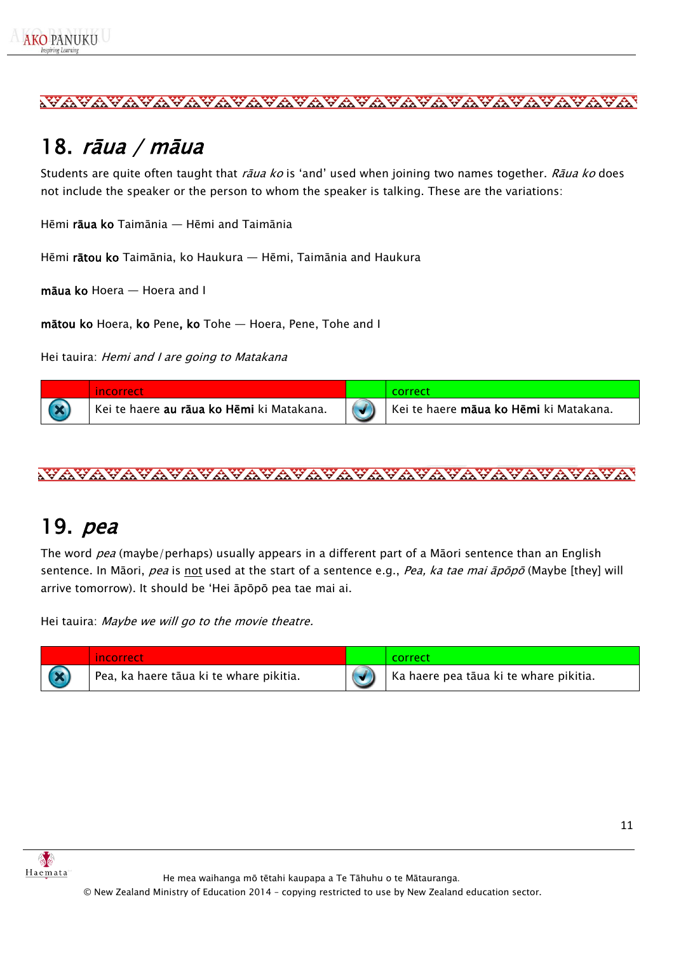## <span id="page-10-0"></span>18. rāua / māua

Students are quite often taught that rāua ko is 'and' used when joining two names together. Rāua ko does not include the speaker or the person to whom the speaker is talking. These are the variations:

Hēmi rāua ko Taimānia — Hēmi and Taimānia

Hēmi rātou ko Taimānia, ko Haukura — Hēmi, Taimānia and Haukura

māua ko Hoera — Hoera and I

mātou ko Hoera, ko Pene, ko Tohe — Hoera, Pene, Tohe and I

Hei tauira: *Hemi and I are going to Matakana* 

| <i><b>Incorrect</b></i>                                       | correct                                                    |
|---------------------------------------------------------------|------------------------------------------------------------|
| <sup>'</sup> Kei te haere <b>au rāua ko Hēmi</b> ki Matakana. | <sup> </sup> Kei te haere <b>māua ko Hēmi</b> ki Matakana. |

#### <span id="page-10-1"></span>19. pea

The word pea (maybe/perhaps) usually appears in a different part of a Māori sentence than an English sentence. In Māori, *pea* is not used at the start of a sentence e.g., *Pea, ka tae mai āpōpō* (Maybe [they] will arrive tomorrow). It should be 'Hei āpōpō pea tae mai ai.

Hei tauira: Maybe we will go to the movie theatre.

| incorrect                               | -correct                               |
|-----------------------------------------|----------------------------------------|
| Pea, ka haere tāua ki te whare pikitia. | ka haere pea tāua ki te whare pikitia. |



He mea waihanga mō tētahi kaupapa a Te Tāhuhu o te Mātauranga.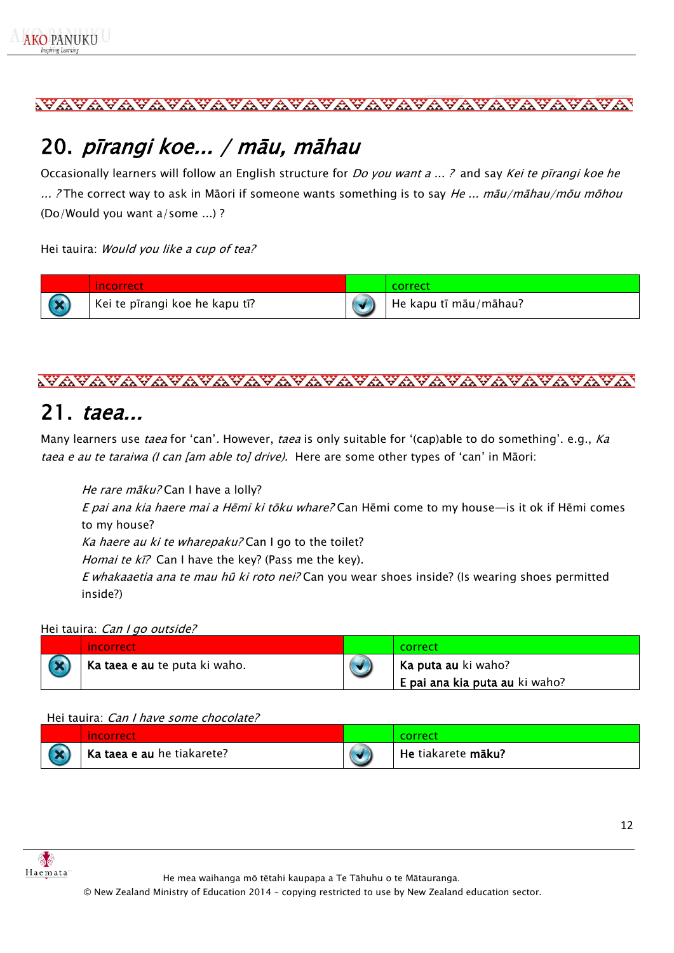#### <u>wayayayayayayayayayayayayayayayayayaya</u>

## <span id="page-11-0"></span>20. pīrangi koe... / māu, māhau

Occasionally learners will follow an English structure for *Do you want a ...?* and say Kei te pirangi koe he ... ? The correct way to ask in Māori if someone wants something is to say He ... māu/māhau/mōu mōhou (Do/Would you want a/some ...) ?

#### Hei tauira: Would you like a cup of tea?





#### <span id="page-11-1"></span>21. taea...

Many learners use *taea* for 'can'. However, *taea* is only suitable for '(cap)able to do something'. e.g., *Ka* taea e au te taraiwa (I can [am able to] drive). Here are some other types of 'can' in Māori:

He rare māku? Can I have a lolly?

E pai ana kia haere mai a Hēmi ki tōku whare? Can Hēmi come to my house—is it ok if Hēmi comes to my house?

Ka haere au ki te wharepaku? Can I go to the toilet?

Homai te ki? Can I have the key? (Pass me the key).

E whakaaetia ana te mau hū ki roto nei? Can you wear shoes inside? (Is wearing shoes permitted inside?)

#### Hei tauira: Can I go outside?

| <i>incorrect</i>              | correct                        |
|-------------------------------|--------------------------------|
| Ka taea e au te puta ki waho. | Ka puta au ki waho?            |
|                               | E pai ana kia puta au ki waho? |

#### Hei tauira: Can I have some chocolate?

| <i>i</i> ncorrect          | correct            |
|----------------------------|--------------------|
| Ka taea e au he tiakarete? | He tiakarete māku? |



He mea waihanga mō tētahi kaupapa a Te Tāhuhu o te Mātauranga.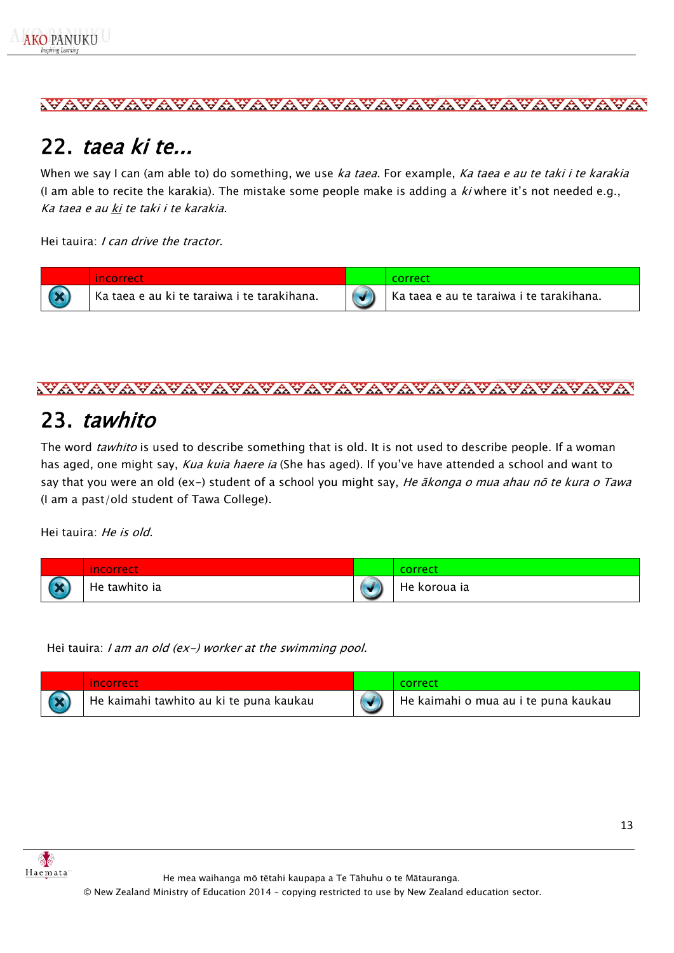### <span id="page-12-0"></span>22. taea ki te...

When we say I can (am able to) do something, we use ka taea. For example, Ka taea e au te taki i te karakia (I am able to recite the karakia). The mistake some people make is adding a  $ki$  where it's not needed e.g., Ka taea e au ki te taki i te karakia.

Hei tauira: *I can drive the tractor.* 



<u>wayayayayayayayayayayayayayayayayayay</u>

## <span id="page-12-1"></span>23. tawhito

The word tawhito is used to describe something that is old. It is not used to describe people. If a woman has aged, one might say, Kua kuia haere ia (She has aged). If you've have attended a school and want to say that you were an old (ex-) student of a school you might say, He *ākonga o mua ahau nō te kura o Tawa* (I am a past/old student of Tawa College).

Hei tauira: He is old.

|                   | <b>ncorrect</b> | correct      |
|-------------------|-----------------|--------------|
| <b>CONTRACTOR</b> | He tawhito ia   | He koroua ia |

Hei tauira: I am an old (ex-) worker at the swimming pool.

| incorrect                               | correc.                                           |
|-----------------------------------------|---------------------------------------------------|
| He kaimahi tawhito au ki te puna kaukau | <sup>I</sup> He kaimahi o mua au i te puna kaukau |



He mea waihanga mō tētahi kaupapa a Te Tāhuhu o te Mātauranga.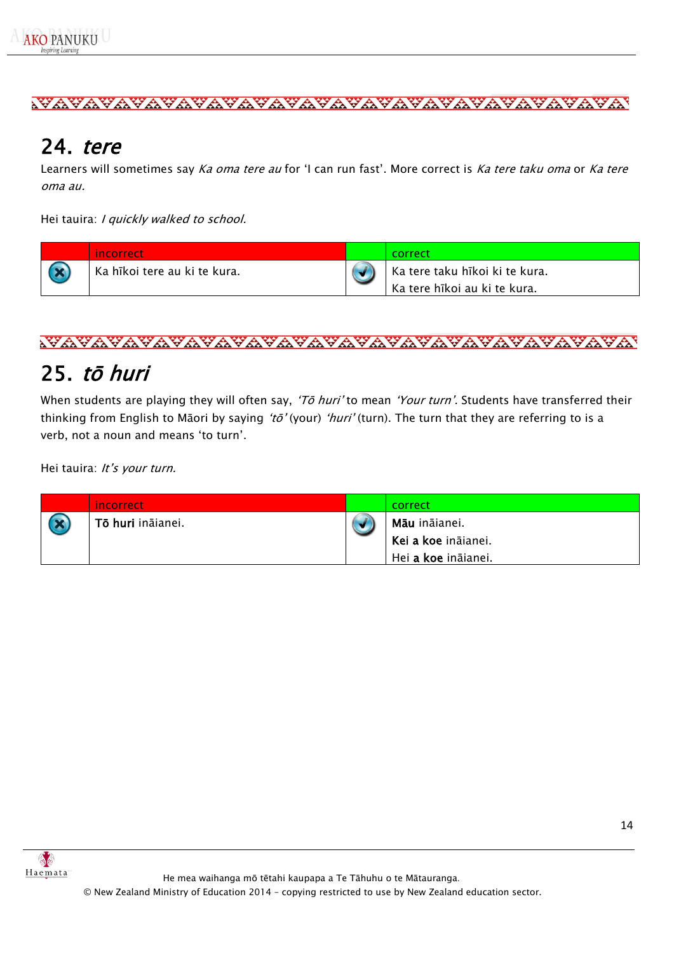



## <span id="page-13-0"></span>24. tere

Learners will sometimes say Ka oma tere au for 'I can run fast'. More correct is Ka tere taku oma or Ka tere oma au.

Hei tauira: I quickly walked to school.

| /incorrect                   | -correct                       |
|------------------------------|--------------------------------|
| Ka hīkoi tere au ki te kura. | Ka tere taku hīkoi ki te kura. |
|                              | Ka tere hīkoi au ki te kura.   |



## <span id="page-13-1"></span>25. <sup>t</sup>ō huri

When students are playing they will often say, 'To huri' to mean 'Your turn'. Students have transferred their thinking from English to Māori by saying 'tō' (your) 'huri' (turn). The turn that they are referring to is a verb, not a noun and means 'to turn'.

Hei tauira: It's your turn.

| <i>incorrect</i>  | correct                    |
|-------------------|----------------------------|
| Tō huri ināianei. | <b>Māu</b> ināianei.       |
|                   | Kei a koe ināianei.        |
|                   | Hei <b>a koe</b> ināianei. |

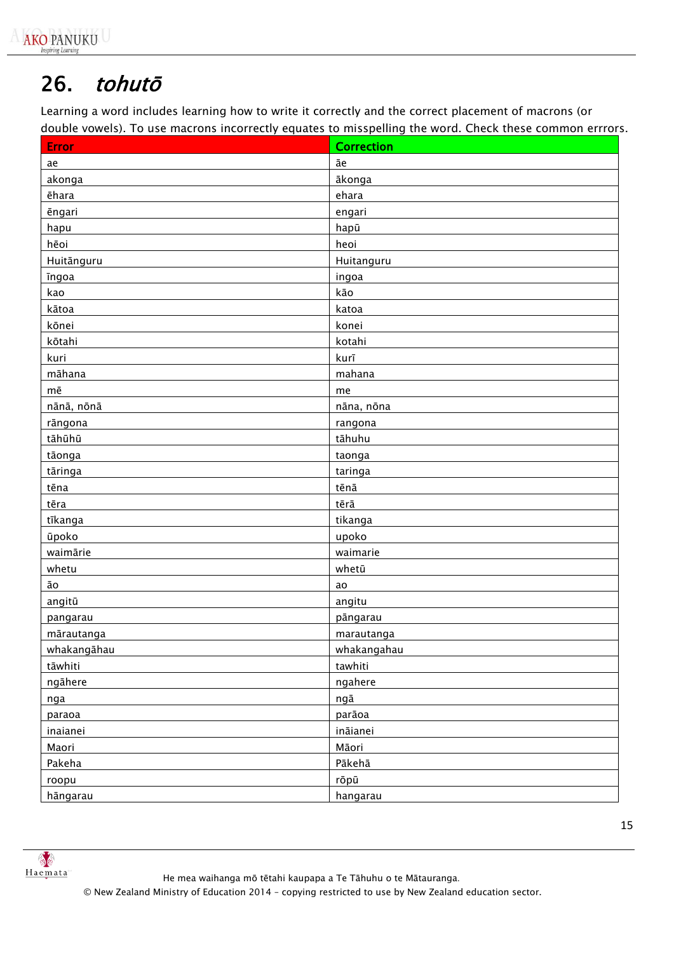## <span id="page-14-0"></span>26. tohutō

Learning a word includes learning how to write it correctly and the correct placement of macrons (or double vowels). To use macrons incorrectly equates to misspelling the word. Check these common errrors.

| <b>Error</b> | <b>Correction</b> |  |  |  |
|--------------|-------------------|--|--|--|
| ae           | āе                |  |  |  |
| akonga       | ākonga            |  |  |  |
| ēhara        | ehara             |  |  |  |
| ēngari       | engari            |  |  |  |
| hapu         | hapū              |  |  |  |
| hēoi         | heoi              |  |  |  |
| Huitānguru   | Huitanguru        |  |  |  |
| <b>Ingoa</b> | ingoa             |  |  |  |
| kao          | kāo               |  |  |  |
| kātoa        | katoa             |  |  |  |
| kōnei        | konei             |  |  |  |
| kōtahi       | kotahi            |  |  |  |
| kuri         | kurī              |  |  |  |
| māhana       | mahana            |  |  |  |
| mē           | me                |  |  |  |
| nānā, nōnā   | nāna, nōna        |  |  |  |
| rāngona      | rangona           |  |  |  |
| tāhūhū       | tāhuhu            |  |  |  |
| tāonga       | taonga            |  |  |  |
| tāringa      | taringa           |  |  |  |
| tēna         | tēnā              |  |  |  |
| tēra         | tērā              |  |  |  |
| tīkanga      | tikanga           |  |  |  |
| ūpoko        | upoko             |  |  |  |
| waimārie     | waimarie          |  |  |  |
| whetu        | whetū             |  |  |  |
| āо           | ao                |  |  |  |
| angitū       | angitu            |  |  |  |
| pangarau     | pāngarau          |  |  |  |
| mārautanga   | marautanga        |  |  |  |
| whakangāhau  | whakangahau       |  |  |  |
| tāwhiti      | tawhiti           |  |  |  |
| ngāhere      | ngahere           |  |  |  |
| nga          | ngā               |  |  |  |
| paraoa       | parāoa            |  |  |  |
| inaianei     | ināianei          |  |  |  |
| Maori        | Māori             |  |  |  |
| Pakeha       | Pākehā            |  |  |  |
| roopu        | rōpū              |  |  |  |
| hāngarau     | hangarau          |  |  |  |

He mea waihanga mō tētahi kaupapa a Te Tāhuhu o te Mātauranga.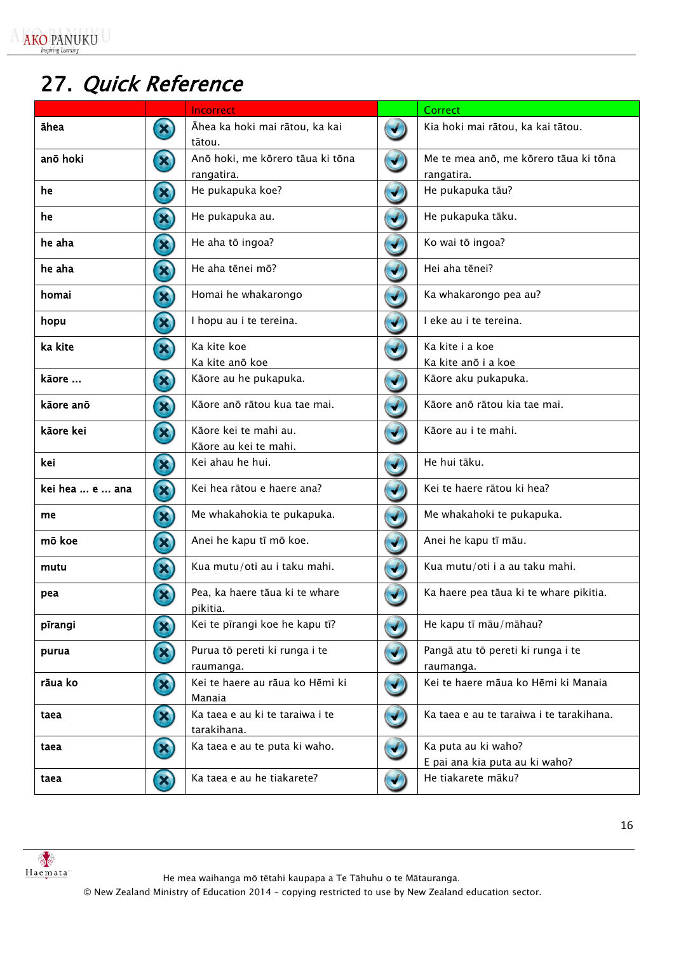**AKO PANUKU** 

# <span id="page-15-0"></span>27. Quick Reference

|                 |                            | <b>Incorrect</b>                               |                      | Correct                                               |
|-----------------|----------------------------|------------------------------------------------|----------------------|-------------------------------------------------------|
| āhea            | $\boldsymbol{\mathbf{Z}}$  | Āhea ka hoki mai rātou, ka kai<br>tātou.       |                      | Kia hoki mai rātou, ka kai tātou.                     |
| anō hoki        | E)                         | Anō hoki, me kōrero tāua ki tōna<br>rangatira. |                      | Me te mea anō, me kōrero tāua ki tōna<br>rangatira.   |
| he              | $\mathbf{Z}$               | He pukapuka koe?                               |                      | He pukapuka tāu?                                      |
| he              | E)                         | He pukapuka au.                                |                      | He pukapuka tāku.                                     |
| he aha          | $\mathbf{z})$              | He aha tō ingoa?                               |                      | Ko wai tō ingoa?                                      |
| he aha          | E)                         | He aha tēnei mō?                               |                      | Hei aha tēnei?                                        |
| homai           | $\mathbf{x}$               | Homai he whakarongo                            |                      | Ka whakarongo pea au?                                 |
| hopu            | $\mathbf{z}$               | I hopu au i te tereina.                        |                      | I eke au i te tereina.                                |
| ka kite         | E)                         | Ka kite koe                                    |                      | Ka kite i a koe                                       |
|                 |                            | Ka kite anō koe                                |                      | Ka kite anō i a koe                                   |
| kāore           | E)                         | Kāore au he pukapuka.                          |                      | Kāore aku pukapuka.                                   |
| kāore anō       | $\mathbf{E}$               | Kāore anō rātou kua tae mai.                   |                      | Kāore anō rātou kia tae mai.                          |
| kāore kei       | E)                         | Kāore kei te mahi au.<br>Kāore au kei te mahi. |                      | Kāore au i te mahi.                                   |
| kei             | $\mathbf{Z}$               | Kei ahau he hui.                               |                      | He hui tāku.                                          |
| kei hea  e  ana | E)                         | Kei hea rātou e haere ana?                     |                      | Kei te haere rātou ki hea?                            |
| me              | $\left( \mathbf{X}\right)$ | Me whakahokia te pukapuka.                     | ✔                    | Me whakahoki te pukapuka.                             |
| mō koe          | $\mathbf{E}$               | Anei he kapu tī mō koe.                        | $\blacktriangledown$ | Anei he kapu tī māu.                                  |
| mutu            | $\mathbf{E}$               | Kua mutu/oti au i taku mahi.                   |                      | Kua mutu/oti i a au taku mahi.                        |
| pea             | $\boldsymbol{\mathrm{E}}$  | Pea, ka haere tāua ki te whare<br>pikitia.     |                      | Ka haere pea tāua ki te whare pikitia.                |
| pīrangi         | E)                         | Kei te pīrangi koe he kapu tī?                 |                      | He kapu tī māu/māhau?                                 |
| purua           | ES)                        | Purua tō pereti ki runga i te<br>raumanga.     |                      | Pangā atu tō pereti ki runga i te<br>raumanga.        |
| rāua ko         | $\mathbf{E}$               | Kei te haere au rāua ko Hēmi ki<br>Manaia      |                      | Kei te haere māua ko Hēmi ki Manaia                   |
| taea            | $\mathbf{X}$               | Ka taea e au ki te taraiwa i te<br>tarakihana. |                      | Ka taea e au te taraiwa i te tarakihana.              |
| taea            | $\boldsymbol{\mathbf{Z}}$  | Ka taea e au te puta ki waho.                  |                      | Ka puta au ki waho?<br>E pai ana kia puta au ki waho? |
| taea            | $\boldsymbol{\mathrm{E}}$  | Ka taea e au he tiakarete?                     |                      | He tiakarete māku?                                    |



He mea waihanga mō tētahi kaupapa a Te Tāhuhu o te Mātauranga.